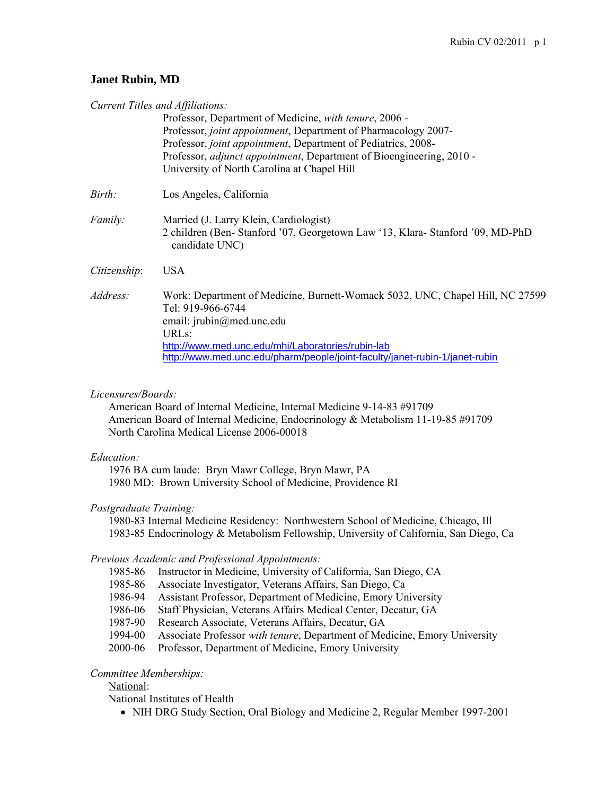# **Janet Rubin, MD**

|                        | Current Titles and Affiliations:<br>Professor, Department of Medicine, with tenure, 2006 -<br>Professor, joint appointment, Department of Pharmacology 2007-                                          |
|------------------------|-------------------------------------------------------------------------------------------------------------------------------------------------------------------------------------------------------|
|                        | Professor, joint appointment, Department of Pediatrics, 2008-<br>Professor, adjunct appointment, Department of Bioengineering, 2010 -<br>University of North Carolina at Chapel Hill                  |
| Birth:                 | Los Angeles, California                                                                                                                                                                               |
| Family:                | Married (J. Larry Klein, Cardiologist)<br>2 children (Ben-Stanford '07, Georgetown Law '13, Klara-Stanford '09, MD-PhD<br>candidate UNC)                                                              |
| Citizenship:           | <b>USA</b>                                                                                                                                                                                            |
| Address:               | Work: Department of Medicine, Burnett-Womack 5032, UNC, Chapel Hill, NC 27599<br>Tel: 919-966-6744<br>email: jrubin@med.unc.edu                                                                       |
|                        | <b>URLs:</b><br>http://www.med.unc.edu/mhi/Laboratories/rubin-lab<br>http://www.med.unc.edu/pharm/people/joint-faculty/janet-rubin-1/janet-rubin                                                      |
| Licensures/Boards:     | American Board of Internal Medicine, Internal Medicine 9-14-83 #91709<br>American Board of Internal Medicine, Endocrinology & Metabolism 11-19-85 #91709<br>North Carolina Medical License 2006-00018 |
| Education:             | 1976 BA cum laude: Bryn Mawr College, Bryn Mawr, PA<br>1980 MD: Brown University School of Medicine, Providence RI                                                                                    |
| Postgraduate Training: | 1980-83 Internal Medicine Residency: Northwestern School of Medicine, Chicago, Ill<br>1983-85 Endocrinology & Metabolism Fellowship, University of California, San Diego, Ca                          |
|                        | Previous Academic and Professional Appointments:                                                                                                                                                      |

- 1985-86 Instructor in Medicine, University of California, San Diego, CA
- 1985-86 Associate Investigator, Veterans Affairs, San Diego, Ca
- 1986-94 Assistant Professor, Department of Medicine, Emory University
- 1986-06 Staff Physician, Veterans Affairs Medical Center, Decatur, GA
- 1987-90 Research Associate, Veterans Affairs, Decatur, GA
- 1994-00 Associate Professor *with tenure*, Department of Medicine, Emory University
- 2000-06 Professor, Department of Medicine, Emory University

# *Committee Memberships:*

National:

National Institutes of Health

NIH DRG Study Section, Oral Biology and Medicine 2, Regular Member 1997-2001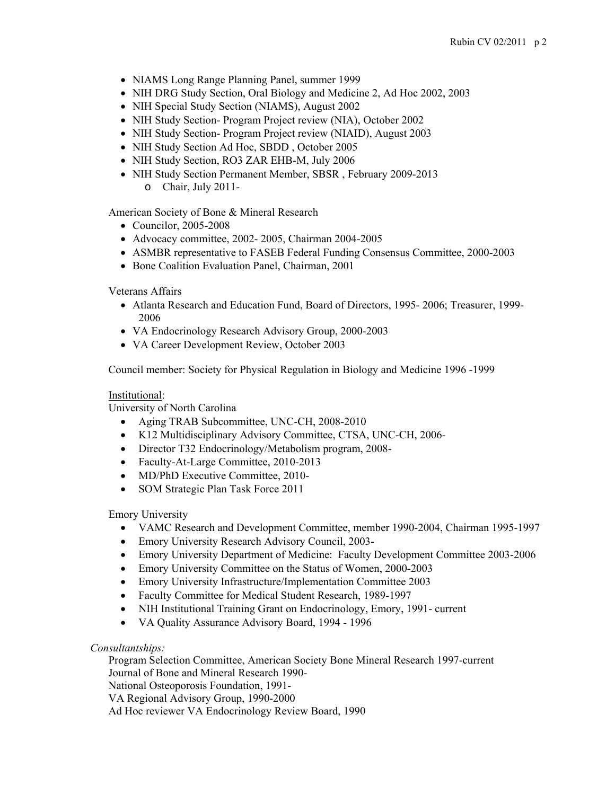- NIAMS Long Range Planning Panel, summer 1999
- NIH DRG Study Section, Oral Biology and Medicine 2, Ad Hoc 2002, 2003
- NIH Special Study Section (NIAMS), August 2002
- NIH Study Section- Program Project review (NIA), October 2002
- NIH Study Section- Program Project review (NIAID), August 2003
- NIH Study Section Ad Hoc, SBDD, October 2005
- NIH Study Section, RO3 ZAR EHB-M, July 2006
- NIH Study Section Permanent Member, SBSR, February 2009-2013 o Chair, July 2011-

American Society of Bone & Mineral Research

- Councilor, 2005-2008
- Advocacy committee, 2002- 2005, Chairman 2004-2005
- ASMBR representative to FASEB Federal Funding Consensus Committee, 2000-2003
- Bone Coalition Evaluation Panel, Chairman, 2001

Veterans Affairs

- Atlanta Research and Education Fund, Board of Directors, 1995- 2006; Treasurer, 1999- 2006
- VA Endocrinology Research Advisory Group, 2000-2003
- VA Career Development Review, October 2003

Council member: Society for Physical Regulation in Biology and Medicine 1996 -1999

# Institutional:

University of North Carolina

- Aging TRAB Subcommittee, UNC-CH, 2008-2010
- K12 Multidisciplinary Advisory Committee, CTSA, UNC-CH, 2006-
- Director T32 Endocrinology/Metabolism program, 2008-
- Faculty-At-Large Committee, 2010-2013
- MD/PhD Executive Committee, 2010-
- SOM Strategic Plan Task Force 2011

Emory University

- VAMC Research and Development Committee, member 1990-2004, Chairman 1995-1997
- Emory University Research Advisory Council, 2003-
- Emory University Department of Medicine: Faculty Development Committee 2003-2006
- Emory University Committee on the Status of Women, 2000-2003
- Emory University Infrastructure/Implementation Committee 2003
- Faculty Committee for Medical Student Research, 1989-1997
- NIH Institutional Training Grant on Endocrinology, Emory, 1991- current
- VA Quality Assurance Advisory Board, 1994 1996

# *Consultantships:*

 Program Selection Committee, American Society Bone Mineral Research 1997-current Journal of Bone and Mineral Research 1990- National Osteoporosis Foundation, 1991- VA Regional Advisory Group, 1990-2000 Ad Hoc reviewer VA Endocrinology Review Board, 1990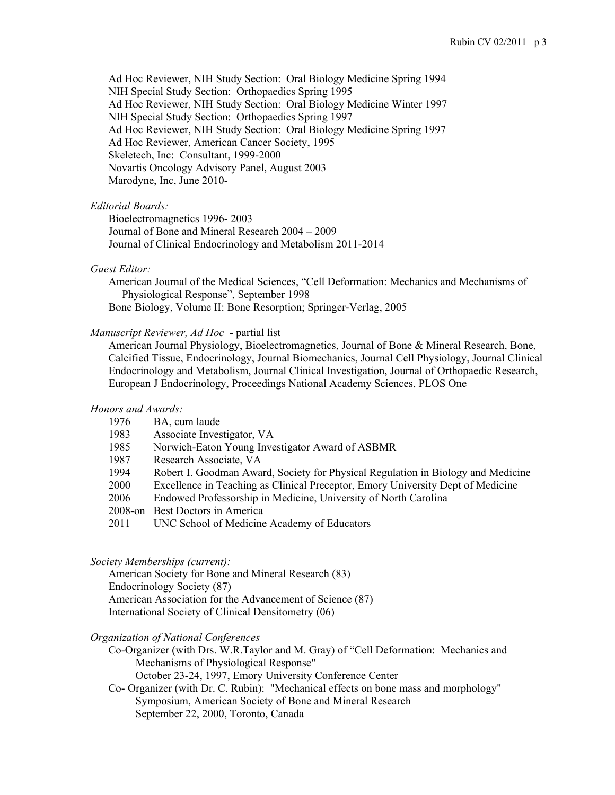Ad Hoc Reviewer, NIH Study Section: Oral Biology Medicine Spring 1994 NIH Special Study Section: Orthopaedics Spring 1995 Ad Hoc Reviewer, NIH Study Section: Oral Biology Medicine Winter 1997 NIH Special Study Section: Orthopaedics Spring 1997 Ad Hoc Reviewer, NIH Study Section: Oral Biology Medicine Spring 1997 Ad Hoc Reviewer, American Cancer Society, 1995 Skeletech, Inc: Consultant, 1999-2000 Novartis Oncology Advisory Panel, August 2003 Marodyne, Inc, June 2010-

### *Editorial Boards:*

 Bioelectromagnetics 1996- 2003 Journal of Bone and Mineral Research 2004 – 2009 Journal of Clinical Endocrinology and Metabolism 2011-2014

### *Guest Editor:*

American Journal of the Medical Sciences, "Cell Deformation: Mechanics and Mechanisms of Physiological Response", September 1998

Bone Biology, Volume II: Bone Resorption; Springer-Verlag, 2005

# *Manuscript Reviewer, Ad Hoc* - partial list

 American Journal Physiology, Bioelectromagnetics, Journal of Bone & Mineral Research, Bone, Calcified Tissue, Endocrinology, Journal Biomechanics, Journal Cell Physiology, Journal Clinical Endocrinology and Metabolism, Journal Clinical Investigation, Journal of Orthopaedic Research, European J Endocrinology, Proceedings National Academy Sciences, PLOS One

### *Honors and Awards:*

| 1976 | BA, cum laude |
|------|---------------|
|------|---------------|

| 1983 | Associate Investigator, VA |  |
|------|----------------------------|--|
|      |                            |  |

- 1985 Norwich-Eaton Young Investigator Award of ASBMR
- 1987 Research Associate, VA
- 1994 Robert I. Goodman Award, Society for Physical Regulation in Biology and Medicine
- 2000 Excellence in Teaching as Clinical Preceptor, Emory University Dept of Medicine
- 2006 Endowed Professorship in Medicine, University of North Carolina
- 2008-on Best Doctors in America
- 2011 UNC School of Medicine Academy of Educators

# *Society Memberships (current):*

 American Society for Bone and Mineral Research (83) Endocrinology Society (87) American Association for the Advancement of Science (87) International Society of Clinical Densitometry (06)

#### *Organization of National Conferences*

 Co-Organizer (with Drs. W.R.Taylor and M. Gray) of "Cell Deformation: Mechanics and Mechanisms of Physiological Response" October 23-24, 1997, Emory University Conference Center

 Co- Organizer (with Dr. C. Rubin): "Mechanical effects on bone mass and morphology" Symposium, American Society of Bone and Mineral Research September 22, 2000, Toronto, Canada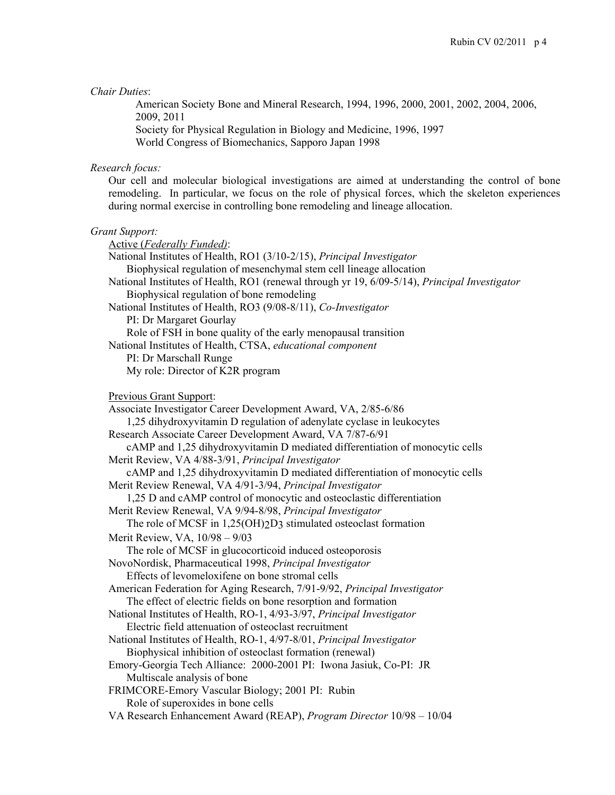#### *Chair Duties*:

American Society Bone and Mineral Research, 1994, 1996, 2000, 2001, 2002, 2004, 2006, 2009, 2011 Society for Physical Regulation in Biology and Medicine, 1996, 1997 World Congress of Biomechanics, Sapporo Japan 1998

#### *Research focus:*

Our cell and molecular biological investigations are aimed at understanding the control of bone remodeling. In particular, we focus on the role of physical forces, which the skeleton experiences during normal exercise in controlling bone remodeling and lineage allocation.

#### *Grant Support:*

 Active (*Federally Funded)*: National Institutes of Health, RO1 (3/10-2/15), *Principal Investigator* Biophysical regulation of mesenchymal stem cell lineage allocation National Institutes of Health, RO1 (renewal through yr 19, 6/09-5/14), *Principal Investigator* Biophysical regulation of bone remodeling National Institutes of Health, RO3 (9/08-8/11), *Co-Investigator*  **PI: Dr Margaret Gourlay**  Role of FSH in bone quality of the early menopausal transition National Institutes of Health, CTSA, *educational component* PI: Dr Marschall Runge My role: Director of K2R program Previous Grant Support: Associate Investigator Career Development Award, VA, 2/85-6/86 1,25 dihydroxyvitamin D regulation of adenylate cyclase in leukocytes Research Associate Career Development Award, VA 7/87-6/91 cAMP and 1,25 dihydroxyvitamin D mediated differentiation of monocytic cells Merit Review, VA 4/88-3/91, *Principal Investigator* cAMP and 1,25 dihydroxyvitamin D mediated differentiation of monocytic cells Merit Review Renewal, VA 4/91-3/94, *Principal Investigator* 1,25 D and cAMP control of monocytic and osteoclastic differentiation Merit Review Renewal, VA 9/94-8/98, *Principal Investigator* The role of MCSF in 1,25(OH)<sub>2</sub>D<sub>3</sub> stimulated osteoclast formation Merit Review, VA, 10/98 – 9/03 The role of MCSF in glucocorticoid induced osteoporosis NovoNordisk, Pharmaceutical 1998, *Principal Investigator* Effects of levomeloxifene on bone stromal cells American Federation for Aging Research, 7/91-9/92, *Principal Investigator* The effect of electric fields on bone resorption and formation National Institutes of Health, RO-1, 4/93-3/97, *Principal Investigator* Electric field attenuation of osteoclast recruitment National Institutes of Health, RO-1, 4/97-8/01, *Principal Investigator* Biophysical inhibition of osteoclast formation (renewal) Emory-Georgia Tech Alliance: 2000-2001 PI: Iwona Jasiuk, Co-PI: JR Multiscale analysis of bone FRIMCORE-Emory Vascular Biology; 2001 PI: Rubin Role of superoxides in bone cells VA Research Enhancement Award (REAP), *Program Director* 10/98 – 10/04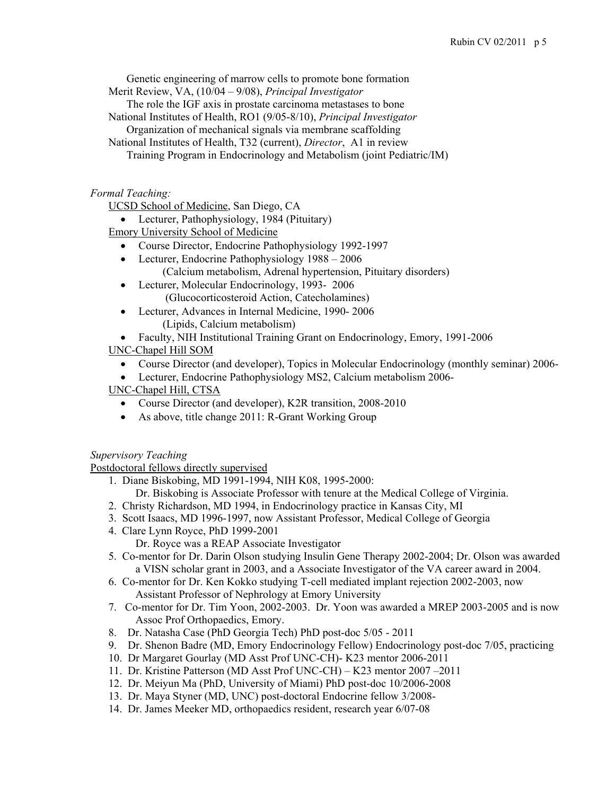Genetic engineering of marrow cells to promote bone formation

Merit Review, VA, (10/04 – 9/08), *Principal Investigator*

The role the IGF axis in prostate carcinoma metastases to bone

National Institutes of Health, RO1 (9/05-8/10), *Principal Investigator*

Organization of mechanical signals via membrane scaffolding

National Institutes of Health, T32 (current), *Director*, A1 in review Training Program in Endocrinology and Metabolism (joint Pediatric/IM)

*Formal Teaching:* 

UCSD School of Medicine, San Diego, CA

• Lecturer, Pathophysiology, 1984 (Pituitary)

Emory University School of Medicine

- Course Director, Endocrine Pathophysiology 1992-1997
- Lecturer, Endocrine Pathophysiology 1988 2006 (Calcium metabolism, Adrenal hypertension, Pituitary disorders)
- Lecturer, Molecular Endocrinology, 1993- 2006 (Glucocorticosteroid Action, Catecholamines)
- Lecturer, Advances in Internal Medicine, 1990- 2006

(Lipids, Calcium metabolism)

• Faculty, NIH Institutional Training Grant on Endocrinology, Emory, 1991-2006

UNC-Chapel Hill SOM

Course Director (and developer), Topics in Molecular Endocrinology (monthly seminar) 2006-

Lecturer, Endocrine Pathophysiology MS2, Calcium metabolism 2006-

UNC-Chapel Hill, CTSA

- Course Director (and developer), K2R transition, 2008-2010
- As above, title change 2011: R-Grant Working Group

*Supervisory Teaching* 

Postdoctoral fellows directly supervised

- 1. Diane Biskobing, MD 1991-1994, NIH K08, 1995-2000:
- Dr. Biskobing is Associate Professor with tenure at the Medical College of Virginia.
- 2. Christy Richardson, MD 1994, in Endocrinology practice in Kansas City, MI
- 3. Scott Isaacs, MD 1996-1997, now Assistant Professor, Medical College of Georgia
- 4. Clare Lynn Royce, PhD 1999-2001 Dr. Royce was a REAP Associate Investigator
- 5. Co-mentor for Dr. Darin Olson studying Insulin Gene Therapy 2002-2004; Dr. Olson was awarded
- a VISN scholar grant in 2003, and a Associate Investigator of the VA career award in 2004. 6. Co-mentor for Dr. Ken Kokko studying T-cell mediated implant rejection 2002-2003, now
	- Assistant Professor of Nephrology at Emory University
- 7. Co-mentor for Dr. Tim Yoon, 2002-2003. Dr. Yoon was awarded a MREP 2003-2005 and is now Assoc Prof Orthopaedics, Emory.
- 8. Dr. Natasha Case (PhD Georgia Tech) PhD post-doc 5/05 2011
- 9. Dr. Shenon Badre (MD, Emory Endocrinology Fellow) Endocrinology post-doc 7/05, practicing
- 10. Dr Margaret Gourlay (MD Asst Prof UNC-CH)- K23 mentor 2006-2011
- 11. Dr. Kristine Patterson (MD Asst Prof UNC-CH) K23 mentor 2007 –2011
- 12. Dr. Meiyun Ma (PhD, University of Miami) PhD post-doc 10/2006-2008
- 13. Dr. Maya Styner (MD, UNC) post-doctoral Endocrine fellow 3/2008-
- 14. Dr. James Meeker MD, orthopaedics resident, research year 6/07-08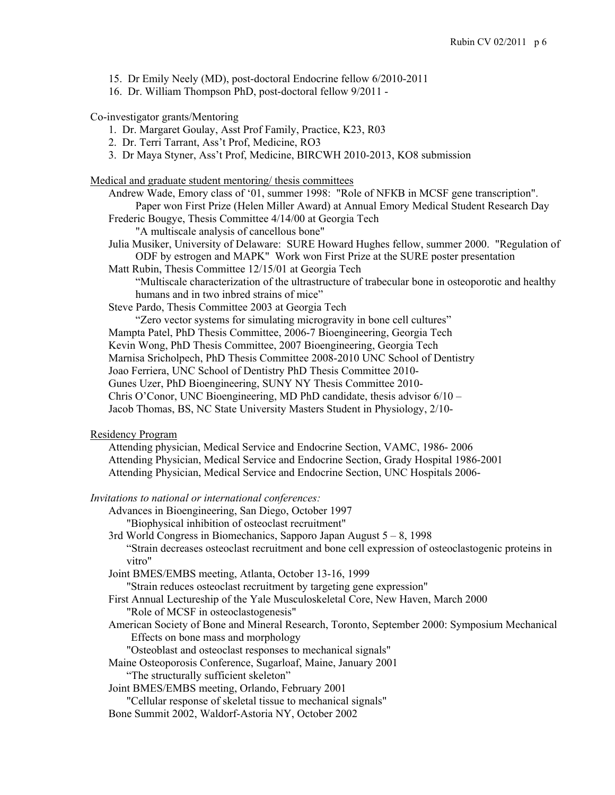- 15. Dr Emily Neely (MD), post-doctoral Endocrine fellow 6/2010-2011
- 16. Dr. William Thompson PhD, post-doctoral fellow 9/2011 -

Co-investigator grants/Mentoring

- 1. Dr. Margaret Goulay, Asst Prof Family, Practice, K23, R03
- 2. Dr. Terri Tarrant, Ass't Prof, Medicine, RO3
- 3. Dr Maya Styner, Ass't Prof, Medicine, BIRCWH 2010-2013, KO8 submission

Medical and graduate student mentoring/ thesis committees

Andrew Wade, Emory class of '01, summer 1998: "Role of NFКB in MCSF gene transcription". Paper won First Prize (Helen Miller Award) at Annual Emory Medical Student Research Day

Frederic Bougye, Thesis Committee 4/14/00 at Georgia Tech

"A multiscale analysis of cancellous bone"

Julia Musiker, University of Delaware: SURE Howard Hughes fellow, summer 2000. "Regulation of ODF by estrogen and MAPK" Work won First Prize at the SURE poster presentation

Matt Rubin, Thesis Committee 12/15/01 at Georgia Tech

 "Multiscale characterization of the ultrastructure of trabecular bone in osteoporotic and healthy humans and in two inbred strains of mice"

Steve Pardo, Thesis Committee 2003 at Georgia Tech

"Zero vector systems for simulating microgravity in bone cell cultures"

Mampta Patel, PhD Thesis Committee, 2006-7 Bioengineering, Georgia Tech

Kevin Wong, PhD Thesis Committee, 2007 Bioengineering, Georgia Tech

Marnisa Sricholpech, PhD Thesis Committee 2008-2010 UNC School of Dentistry

Joao Ferriera, UNC School of Dentistry PhD Thesis Committee 2010-

Gunes Uzer, PhD Bioengineering, SUNY NY Thesis Committee 2010-

Chris O'Conor, UNC Bioengineering, MD PhD candidate, thesis advisor 6/10 –

Jacob Thomas, BS, NC State University Masters Student in Physiology, 2/10-

### Residency Program

 Attending physician, Medical Service and Endocrine Section, VAMC, 1986- 2006 Attending Physician, Medical Service and Endocrine Section, Grady Hospital 1986-2001 Attending Physician, Medical Service and Endocrine Section, UNC Hospitals 2006-

*Invitations to national or international conferences:* 

Advances in Bioengineering, San Diego, October 1997

"Biophysical inhibition of osteoclast recruitment"

 3rd World Congress in Biomechanics, Sapporo Japan August 5 – 8, 1998 "Strain decreases osteoclast recruitment and bone cell expression of osteoclastogenic proteins in vitro"

Joint BMES/EMBS meeting, Atlanta, October 13-16, 1999

"Strain reduces osteoclast recruitment by targeting gene expression"

 First Annual Lectureship of the Yale Musculoskeletal Core, New Haven, March 2000 "Role of MCSF in osteoclastogenesis"

 American Society of Bone and Mineral Research, Toronto, September 2000: Symposium Mechanical Effects on bone mass and morphology

"Osteoblast and osteoclast responses to mechanical signals"

Maine Osteoporosis Conference, Sugarloaf, Maine, January 2001 "The structurally sufficient skeleton"

Joint BMES/EMBS meeting, Orlando, February 2001

"Cellular response of skeletal tissue to mechanical signals"

Bone Summit 2002, Waldorf-Astoria NY, October 2002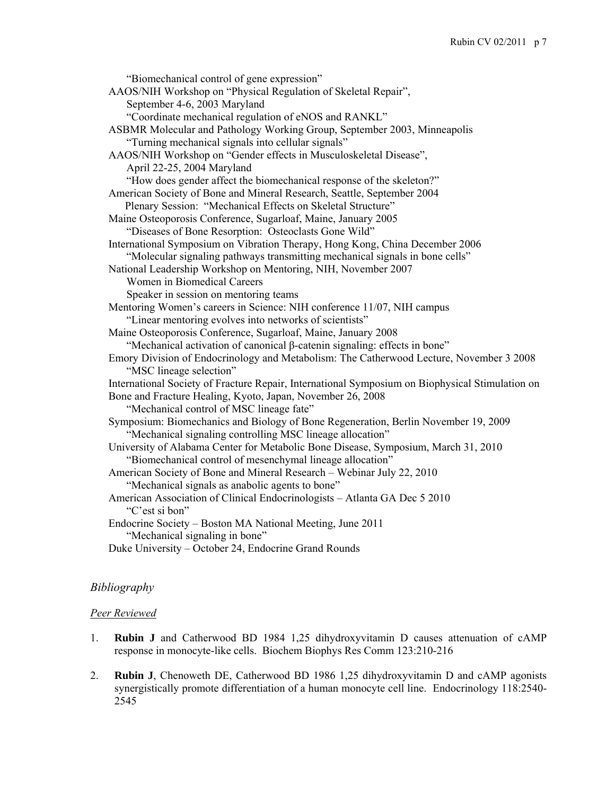"Biomechanical control of gene expression" AAOS/NIH Workshop on "Physical Regulation of Skeletal Repair", September 4-6, 2003 Maryland "Coordinate mechanical regulation of eNOS and RANKL" ASBMR Molecular and Pathology Working Group, September 2003, Minneapolis "Turning mechanical signals into cellular signals" AAOS/NIH Workshop on "Gender effects in Musculoskeletal Disease", April 22-25, 2004 Maryland "How does gender affect the biomechanical response of the skeleton?" American Society of Bone and Mineral Research, Seattle, September 2004 Plenary Session: "Mechanical Effects on Skeletal Structure" Maine Osteoporosis Conference, Sugarloaf, Maine, January 2005 "Diseases of Bone Resorption: Osteoclasts Gone Wild" International Symposium on Vibration Therapy, Hong Kong, China December 2006 "Molecular signaling pathways transmitting mechanical signals in bone cells" National Leadership Workshop on Mentoring, NIH, November 2007 Women in Biomedical Careers Speaker in session on mentoring teams Mentoring Women's careers in Science: NIH conference 11/07, NIH campus "Linear mentoring evolves into networks of scientists" Maine Osteoporosis Conference, Sugarloaf, Maine, January 2008 "Mechanical activation of canonical β-catenin signaling: effects in bone" Emory Division of Endocrinology and Metabolism: The Catherwood Lecture, November 3 2008 "MSC lineage selection" International Society of Fracture Repair, International Symposium on Biophysical Stimulation on Bone and Fracture Healing, Kyoto, Japan, November 26, 2008 "Mechanical control of MSC lineage fate" Symposium: Biomechanics and Biology of Bone Regeneration, Berlin November 19, 2009 "Mechanical signaling controlling MSC lineage allocation" University of Alabama Center for Metabolic Bone Disease, Symposium, March 31, 2010 "Biomechanical control of mesenchymal lineage allocation" American Society of Bone and Mineral Research – Webinar July 22, 2010 "Mechanical signals as anabolic agents to bone" American Association of Clinical Endocrinologists – Atlanta GA Dec 5 2010 "C'est si bon" Endocrine Society – Boston MA National Meeting, June 2011 "Mechanical signaling in bone" Duke University – October 24, Endocrine Grand Rounds

# *Bibliography*

### *Peer Reviewed*

- 1. **Rubin J** and Catherwood BD 1984 1,25 dihydroxyvitamin D causes attenuation of cAMP response in monocyte-like cells. Biochem Biophys Res Comm 123:210-216
- 2. **Rubin J**, Chenoweth DE, Catherwood BD 1986 1,25 dihydroxyvitamin D and cAMP agonists synergistically promote differentiation of a human monocyte cell line. Endocrinology 118:2540- 2545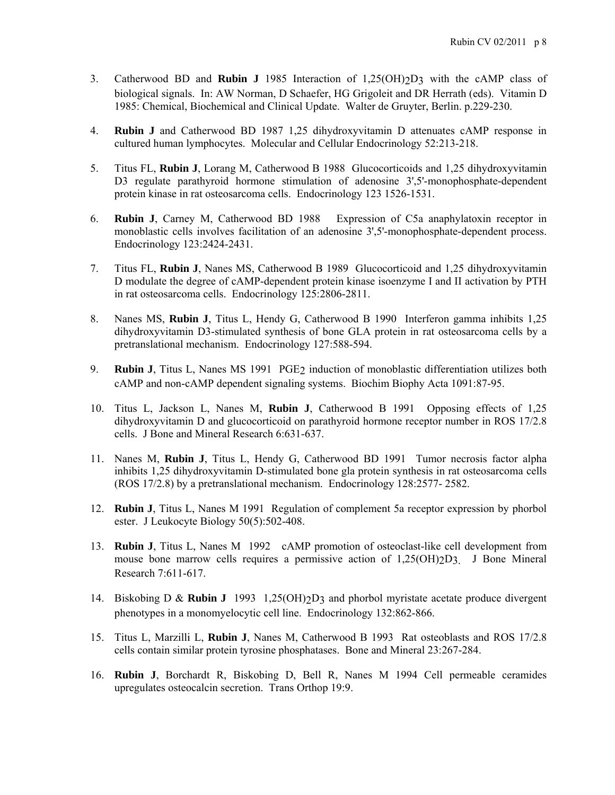- 3. Catherwood BD and **Rubin J** 1985 Interaction of 1,25(OH)2D3 with the cAMP class of biological signals. In: AW Norman, D Schaefer, HG Grigoleit and DR Herrath (eds). Vitamin D 1985: Chemical, Biochemical and Clinical Update. Walter de Gruyter, Berlin. p.229-230.
- 4. **Rubin J** and Catherwood BD 1987 1,25 dihydroxyvitamin D attenuates cAMP response in cultured human lymphocytes. Molecular and Cellular Endocrinology 52:213-218.
- 5. Titus FL, **Rubin J**, Lorang M, Catherwood B 1988 Glucocorticoids and 1,25 dihydroxyvitamin D3 regulate parathyroid hormone stimulation of adenosine 3',5'-monophosphate-dependent protein kinase in rat osteosarcoma cells. Endocrinology 123 1526-1531.
- 6. **Rubin J**, Carney M, Catherwood BD 1988 Expression of C5a anaphylatoxin receptor in monoblastic cells involves facilitation of an adenosine 3',5'-monophosphate-dependent process. Endocrinology 123:2424-2431.
- 7. Titus FL, **Rubin J**, Nanes MS, Catherwood B 1989 Glucocorticoid and 1,25 dihydroxyvitamin D modulate the degree of cAMP-dependent protein kinase isoenzyme I and II activation by PTH in rat osteosarcoma cells. Endocrinology 125:2806-2811.
- 8. Nanes MS, **Rubin J**, Titus L, Hendy G, Catherwood B 1990 Interferon gamma inhibits 1,25 dihydroxyvitamin D3-stimulated synthesis of bone GLA protein in rat osteosarcoma cells by a pretranslational mechanism. Endocrinology 127:588-594.
- 9. **Rubin J**, Titus L, Nanes MS 1991 PGE2 induction of monoblastic differentiation utilizes both cAMP and non-cAMP dependent signaling systems. Biochim Biophy Acta 1091:87-95.
- 10. Titus L, Jackson L, Nanes M, **Rubin J**, Catherwood B 1991 Opposing effects of 1,25 dihydroxyvitamin D and glucocorticoid on parathyroid hormone receptor number in ROS 17/2.8 cells. J Bone and Mineral Research 6:631-637.
- 11. Nanes M, **Rubin J**, Titus L, Hendy G, Catherwood BD 1991 Tumor necrosis factor alpha inhibits 1,25 dihydroxyvitamin D-stimulated bone gla protein synthesis in rat osteosarcoma cells (ROS 17/2.8) by a pretranslational mechanism. Endocrinology 128:2577- 2582.
- 12. **Rubin J**, Titus L, Nanes M 1991 Regulation of complement 5a receptor expression by phorbol ester. J Leukocyte Biology 50(5):502-408.
- 13. **Rubin J**, Titus L, Nanes M 1992 cAMP promotion of osteoclast-like cell development from mouse bone marrow cells requires a permissive action of  $1,25(OH)2D3$ . J Bone Mineral Research 7:611-617.
- 14. Biskobing D & **Rubin J** 1993 1,25(OH)2D3 and phorbol myristate acetate produce divergent phenotypes in a monomyelocytic cell line. Endocrinology 132:862-866.
- 15. Titus L, Marzilli L, **Rubin J**, Nanes M, Catherwood B 1993 Rat osteoblasts and ROS 17/2.8 cells contain similar protein tyrosine phosphatases. Bone and Mineral 23:267-284.
- 16. **Rubin J**, Borchardt R, Biskobing D, Bell R, Nanes M 1994 Cell permeable ceramides upregulates osteocalcin secretion. Trans Orthop 19:9.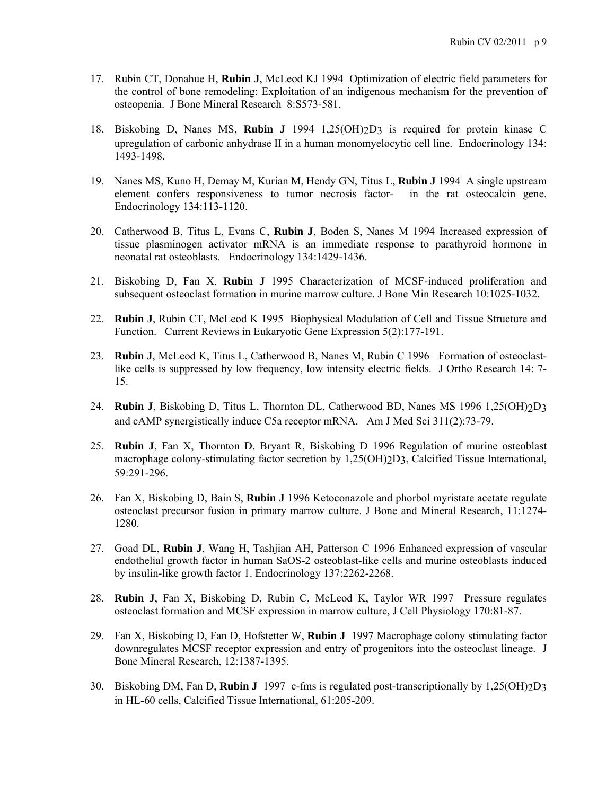- 17. Rubin CT, Donahue H, **Rubin J**, McLeod KJ 1994 Optimization of electric field parameters for the control of bone remodeling: Exploitation of an indigenous mechanism for the prevention of osteopenia. J Bone Mineral Research 8:S573-581.
- 18. Biskobing D, Nanes MS, **Rubin J** 1994 1,25(OH)2D3 is required for protein kinase C upregulation of carbonic anhydrase II in a human monomyelocytic cell line. Endocrinology 134: 1493-1498.
- 19. Nanes MS, Kuno H, Demay M, Kurian M, Hendy GN, Titus L, **Rubin J** 1994 A single upstream element confers responsiveness to tumor necrosis factor- in the rat osteocalcin gene. Endocrinology 134:113-1120.
- 20. Catherwood B, Titus L, Evans C, **Rubin J**, Boden S, Nanes M 1994 Increased expression of tissue plasminogen activator mRNA is an immediate response to parathyroid hormone in neonatal rat osteoblasts. Endocrinology 134:1429-1436.
- 21. Biskobing D, Fan X, **Rubin J** 1995 Characterization of MCSF-induced proliferation and subsequent osteoclast formation in murine marrow culture. J Bone Min Research 10:1025-1032.
- 22. **Rubin J**, Rubin CT, McLeod K 1995 Biophysical Modulation of Cell and Tissue Structure and Function. Current Reviews in Eukaryotic Gene Expression 5(2):177-191.
- 23. **Rubin J**, McLeod K, Titus L, Catherwood B, Nanes M, Rubin C 1996 Formation of osteoclastlike cells is suppressed by low frequency, low intensity electric fields. J Ortho Research 14: 7- 15.
- 24. **Rubin J**, Biskobing D, Titus L, Thornton DL, Catherwood BD, Nanes MS 1996 1,25(OH)2D3 and cAMP synergistically induce C5a receptor mRNA. Am J Med Sci 311(2):73-79.
- 25. **Rubin J**, Fan X, Thornton D, Bryant R, Biskobing D 1996 Regulation of murine osteoblast macrophage colony-stimulating factor secretion by 1,25(OH) $2D_3$ , Calcified Tissue International, 59:291-296.
- 26. Fan X, Biskobing D, Bain S, **Rubin J** 1996 Ketoconazole and phorbol myristate acetate regulate osteoclast precursor fusion in primary marrow culture. J Bone and Mineral Research, 11:1274- 1280.
- 27. Goad DL, **Rubin J**, Wang H, Tashjian AH, Patterson C 1996 Enhanced expression of vascular endothelial growth factor in human SaOS-2 osteoblast-like cells and murine osteoblasts induced by insulin-like growth factor 1. Endocrinology 137:2262-2268.
- 28. **Rubin J**, Fan X, Biskobing D, Rubin C, McLeod K, Taylor WR 1997 Pressure regulates osteoclast formation and MCSF expression in marrow culture, J Cell Physiology 170:81-87.
- 29. Fan X, Biskobing D, Fan D, Hofstetter W, **Rubin J** 1997 Macrophage colony stimulating factor downregulates MCSF receptor expression and entry of progenitors into the osteoclast lineage. J Bone Mineral Research, 12:1387-1395.
- 30. Biskobing DM, Fan D, **Rubin J** 1997 c-fms is regulated post-transcriptionally by 1,25(OH)2D3 in HL-60 cells, Calcified Tissue International, 61:205-209.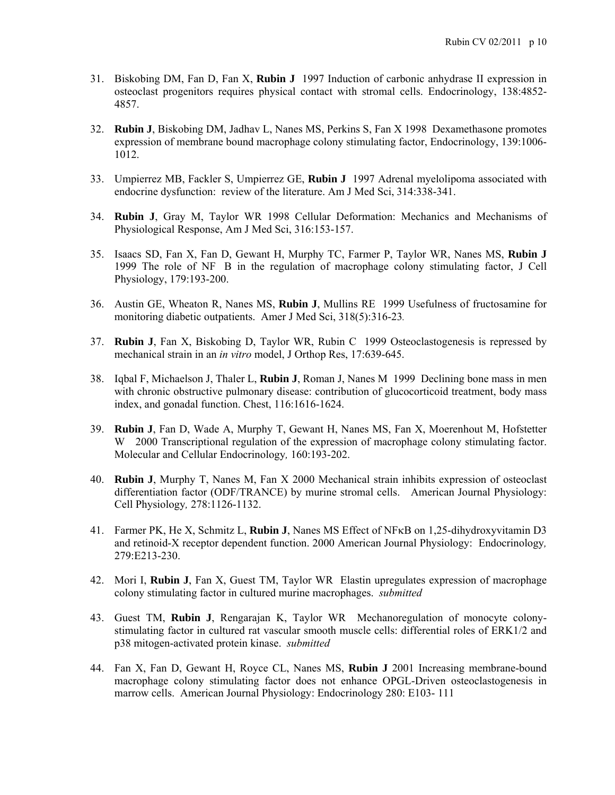- 31. Biskobing DM, Fan D, Fan X, **Rubin J** 1997 Induction of carbonic anhydrase II expression in osteoclast progenitors requires physical contact with stromal cells. Endocrinology, 138:4852- 4857.
- 32. **Rubin J**, Biskobing DM, Jadhav L, Nanes MS, Perkins S, Fan X 1998 Dexamethasone promotes expression of membrane bound macrophage colony stimulating factor, Endocrinology, 139:1006- 1012.
- 33. Umpierrez MB, Fackler S, Umpierrez GE, **Rubin J** 1997 Adrenal myelolipoma associated with endocrine dysfunction: review of the literature. Am J Med Sci, 314:338-341.
- 34. **Rubin J**, Gray M, Taylor WR 1998 Cellular Deformation: Mechanics and Mechanisms of Physiological Response, Am J Med Sci, 316:153-157.
- 35. Isaacs SD, Fan X, Fan D, Gewant H, Murphy TC, Farmer P, Taylor WR, Nanes MS, **Rubin J** 1999 The role of NF B in the regulation of macrophage colony stimulating factor, J Cell Physiology, 179:193-200.
- 36. Austin GE, Wheaton R, Nanes MS, **Rubin J**, Mullins RE 1999 Usefulness of fructosamine for monitoring diabetic outpatients. Amer J Med Sci, 318(5):316-23*.*
- 37. **Rubin J**, Fan X, Biskobing D, Taylor WR, Rubin C 1999 Osteoclastogenesis is repressed by mechanical strain in an *in vitro* model, J Orthop Res, 17:639-645.
- 38. Iqbal F, Michaelson J, Thaler L, **Rubin J**, Roman J, Nanes M 1999 Declining bone mass in men with chronic obstructive pulmonary disease: contribution of glucocorticoid treatment, body mass index, and gonadal function. Chest, 116:1616-1624.
- 39. **Rubin J**, Fan D, Wade A, Murphy T, Gewant H, Nanes MS, Fan X, Moerenhout M, Hofstetter W 2000 Transcriptional regulation of the expression of macrophage colony stimulating factor. Molecular and Cellular Endocrinology*,* 160:193-202.
- 40. **Rubin J**, Murphy T, Nanes M, Fan X 2000 Mechanical strain inhibits expression of osteoclast differentiation factor (ODF/TRANCE) by murine stromal cells. American Journal Physiology: Cell Physiology*,* 278:1126-1132.
- 41. Farmer PK, He X, Schmitz L, Rubin J, Nanes MS Effect of NF<sub>K</sub>B on 1,25-dihydroxyvitamin D3 and retinoid-X receptor dependent function. 2000 American Journal Physiology: Endocrinology*,*  279:E213-230.
- 42. Mori I, **Rubin J**, Fan X, Guest TM, Taylor WR Elastin upregulates expression of macrophage colony stimulating factor in cultured murine macrophages. *submitted*
- 43. Guest TM, **Rubin J**, Rengarajan K, Taylor WR Mechanoregulation of monocyte colonystimulating factor in cultured rat vascular smooth muscle cells: differential roles of ERK1/2 and p38 mitogen-activated protein kinase. *submitted*
- 44. Fan X, Fan D, Gewant H, Royce CL, Nanes MS, **Rubin J** 2001 Increasing membrane-bound macrophage colony stimulating factor does not enhance OPGL-Driven osteoclastogenesis in marrow cells. American Journal Physiology: Endocrinology 280: E103- 111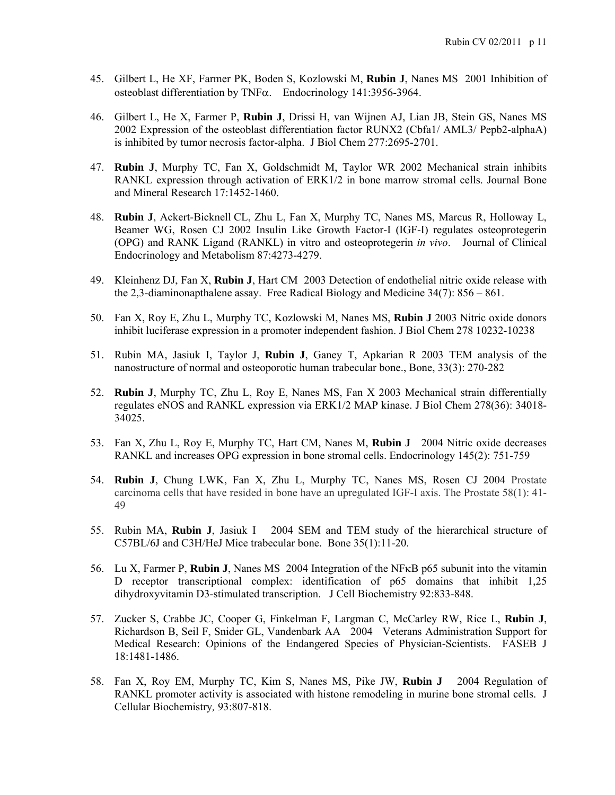- 45. Gilbert L, He XF, Farmer PK, Boden S, Kozlowski M, **Rubin J**, Nanes MS 2001 Inhibition of osteoblast differentiation by TNF $\alpha$ . Endocrinology 141:3956-3964.
- 46. Gilbert L, He X, Farmer P, **Rubin J**, Drissi H, van Wijnen AJ, Lian JB, Stein GS, Nanes MS 2002 Expression of the osteoblast differentiation factor RUNX2 (Cbfa1/ AML3/ Pepb2-alphaA) is inhibited by tumor necrosis factor-alpha. J Biol Chem 277:2695-2701.
- 47. **Rubin J**, Murphy TC, Fan X, Goldschmidt M, Taylor WR 2002 Mechanical strain inhibits RANKL expression through activation of ERK1/2 in bone marrow stromal cells. Journal Bone and Mineral Research 17:1452-1460.
- 48. **Rubin J**, Ackert-Bicknell CL, Zhu L, Fan X, Murphy TC, Nanes MS, Marcus R, Holloway L, Beamer WG, Rosen CJ 2002 Insulin Like Growth Factor-I (IGF-I) regulates osteoprotegerin (OPG) and RANK Ligand (RANKL) in vitro and osteoprotegerin *in vivo*.Journal of Clinical Endocrinology and Metabolism 87:4273-4279.
- 49. Kleinhenz DJ, Fan X, **Rubin J**, Hart CM 2003 Detection of endothelial nitric oxide release with the 2,3-diaminonapthalene assay. Free Radical Biology and Medicine 34(7): 856 – 861.
- 50. Fan X, Roy E, Zhu L, Murphy TC, Kozlowski M, Nanes MS, **Rubin J** 2003 Nitric oxide donors inhibit luciferase expression in a promoter independent fashion. J Biol Chem 278 10232-10238
- 51. Rubin MA, Jasiuk I, Taylor J, **Rubin J**, Ganey T, Apkarian R 2003 TEM analysis of the nanostructure of normal and osteoporotic human trabecular bone., Bone, 33(3): 270-282
- 52. **Rubin J**, Murphy TC, Zhu L, Roy E, Nanes MS, Fan X 2003 Mechanical strain differentially regulates eNOS and RANKL expression via ERK1/2 MAP kinase. J Biol Chem 278(36): 34018- 34025.
- 53. Fan X, Zhu L, Roy E, Murphy TC, Hart CM, Nanes M, **Rubin J** 2004 Nitric oxide decreases RANKL and increases OPG expression in bone stromal cells. Endocrinology 145(2): 751-759
- 54. **Rubin J**, Chung LWK, Fan X, Zhu L, Murphy TC, Nanes MS, Rosen CJ 2004 Prostate carcinoma cells that have resided in bone have an upregulated IGF-I axis. The Prostate 58(1): 41- 49
- 55. Rubin MA, **Rubin J**, Jasiuk I 2004 SEM and TEM study of the hierarchical structure of C57BL/6J and C3H/HeJ Mice trabecular bone. Bone 35(1):11-20.
- 56. Lu X, Farmer P, **Rubin J**, Nanes MS 2004 Integration of the NF<sub>K</sub>B p65 subunit into the vitamin D receptor transcriptional complex: identification of p65 domains that inhibit 1,25 dihydroxyvitamin D3-stimulated transcription. J Cell Biochemistry 92:833-848.
- 57. Zucker S, Crabbe JC, Cooper G, Finkelman F, Largman C, McCarley RW, Rice L, **Rubin J**, Richardson B, Seil F, Snider GL, Vandenbark AA 2004 Veterans Administration Support for Medical Research: Opinions of the Endangered Species of Physician-Scientists. FASEB J 18:1481-1486.
- 58. Fan X, Roy EM, Murphy TC, Kim S, Nanes MS, Pike JW, **Rubin J** 2004 Regulation of RANKL promoter activity is associated with histone remodeling in murine bone stromal cells. J Cellular Biochemistry*,* 93:807-818.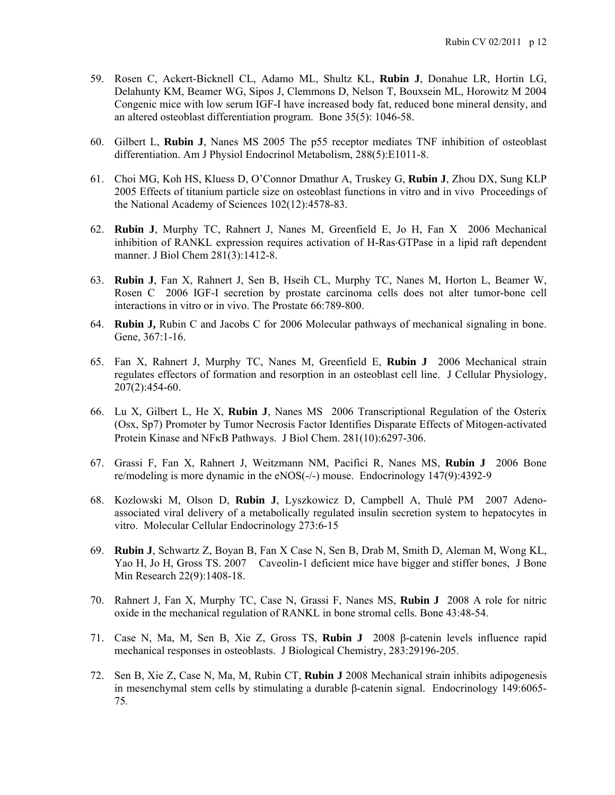- 59. Rosen C, Ackert-Bicknell CL, Adamo ML, Shultz KL, **Rubin J**, Donahue LR, Hortin LG, Delahunty KM, Beamer WG, Sipos J, Clemmons D, Nelson T, Bouxsein ML, Horowitz M 2004 Congenic mice with low serum IGF-I have increased body fat, reduced bone mineral density, and an altered osteoblast differentiation program. Bone 35(5): 1046-58.
- 60. Gilbert L, **Rubin J**, Nanes MS 2005 The p55 receptor mediates TNF inhibition of osteoblast differentiation. Am J Physiol Endocrinol Metabolism, 288(5):E1011-8.
- 61. Choi MG, Koh HS, Kluess D, O'Connor Dmathur A, Truskey G, **Rubin J**, Zhou DX, Sung KLP 2005 Effects of titanium particle size on osteoblast functions in vitro and in vivo Proceedings of the National Academy of Sciences 102(12):4578-83.
- 62. **Rubin J**, Murphy TC, Rahnert J, Nanes M, Greenfield E, Jo H, Fan X 2006 Mechanical inhibition of RANKL expression requires activation of H-Ras-GTPase in a lipid raft dependent manner. J Biol Chem 281(3):1412-8.
- 63. **Rubin J**, Fan X, Rahnert J, Sen B, Hseih CL, Murphy TC, Nanes M, Horton L, Beamer W, Rosen C 2006 IGF-I secretion by prostate carcinoma cells does not alter tumor-bone cell interactions in vitro or in vivo. The Prostate 66:789-800.
- 64. **Rubin J,** Rubin C and Jacobs C for 2006 Molecular pathways of mechanical signaling in bone. Gene, 367:1-16.
- 65. Fan X, Rahnert J, Murphy TC, Nanes M, Greenfield E, **Rubin J** 2006 Mechanical strain regulates effectors of formation and resorption in an osteoblast cell line. J Cellular Physiology, 207(2):454-60.
- 66. Lu X, Gilbert L, He X, **Rubin J**, Nanes MS 2006 Transcriptional Regulation of the Osterix (Osx, Sp7) Promoter by Tumor Necrosis Factor Identifies Disparate Effects of Mitogen-activated Protein Kinase and NF<sub>K</sub>B Pathways. J Biol Chem. 281(10):6297-306.
- 67. Grassi F, Fan X, Rahnert J, Weitzmann NM, Pacifici R, Nanes MS, **Rubin J** 2006 Bone re/modeling is more dynamic in the eNOS(-/-) mouse. Endocrinology 147(9):4392-9
- 68. Kozlowski M, Olson D, **Rubin J**, Lyszkowicz D, Campbell A, Thulé PM 2007 Adenoassociated viral delivery of a metabolically regulated insulin secretion system to hepatocytes in vitro. Molecular Cellular Endocrinology 273:6-15
- 69. **Rubin J**, Schwartz Z, Boyan B, Fan X Case N, Sen B, Drab M, Smith D, Aleman M, Wong KL, Yao H, Jo H, Gross TS. 2007 Caveolin-1 deficient mice have bigger and stiffer bones, J Bone Min Research 22(9):1408-18.
- 70. Rahnert J, Fan X, Murphy TC, Case N, Grassi F, Nanes MS, **Rubin J** 2008 A role for nitric oxide in the mechanical regulation of RANKL in bone stromal cells. Bone 43:48-54.
- 71. Case N, Ma, M, Sen B, Xie Z, Gross TS, **Rubin J** 2008 β-catenin levels influence rapid mechanical responses in osteoblasts. J Biological Chemistry, 283:29196-205.
- 72. Sen B, Xie Z, Case N, Ma, M, Rubin CT, **Rubin J** 2008 Mechanical strain inhibits adipogenesis in mesenchymal stem cells by stimulating a durable β-catenin signal. Endocrinology 149:6065- 75*.*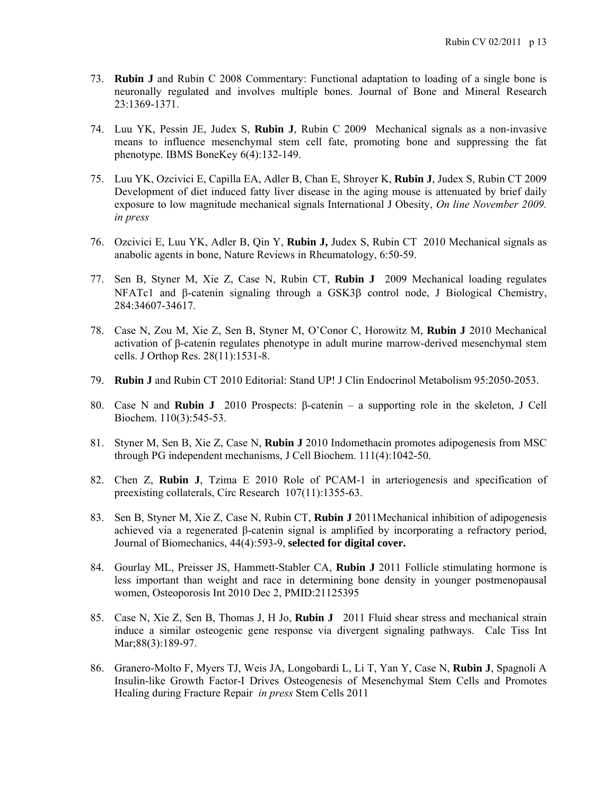- 73. **Rubin J** and Rubin C 2008 Commentary: Functional adaptation to loading of a single bone is neuronally regulated and involves multiple bones. Journal of Bone and Mineral Research 23:1369-1371.
- 74. Luu YK, Pessin JE, Judex S, **Rubin J**, Rubin C 2009 Mechanical signals as a non-invasive means to influence mesenchymal stem cell fate, promoting bone and suppressing the fat phenotype. IBMS BoneKey 6(4):132-149.
- 75. Luu YK, Ozcivici E, Capilla EA, Adler B, Chan E, Shroyer K, **Rubin J**, Judex S, Rubin CT 2009 Development of diet induced fatty liver disease in the aging mouse is attenuated by brief daily exposure to low magnitude mechanical signals International J Obesity, *On line November 2009. in press*
- 76. Ozcivici E, Luu YK, Adler B, Qin Y, **Rubin J,** Judex S, Rubin CT 2010 Mechanical signals as anabolic agents in bone, Nature Reviews in Rheumatology, 6:50-59.
- 77. Sen B, Styner M, Xie Z, Case N, Rubin CT, **Rubin J** 2009 Mechanical loading regulates NFATc1 and  $\beta$ -catenin signaling through a GSK3 $\beta$  control node, J Biological Chemistry, 284:34607-34617.
- 78. Case N, Zou M, Xie Z, Sen B, Styner M, O'Conor C, Horowitz M, **Rubin J** 2010 Mechanical activation of β-catenin regulates phenotype in adult murine marrow-derived mesenchymal stem cells. J Orthop Res. 28(11):1531-8.
- 79. **Rubin J** and Rubin CT 2010 Editorial: Stand UP! J Clin Endocrinol Metabolism 95:2050-2053.
- 80. Case N and **Rubin J** 2010 Prospects: β-catenin a supporting role in the skeleton, J Cell Biochem. 110(3):545-53.
- 81. Styner M, Sen B, Xie Z, Case N, **Rubin J** 2010 Indomethacin promotes adipogenesis from MSC through PG independent mechanisms, J Cell Biochem. 111(4):1042-50.
- 82. Chen Z, **Rubin J**, Tzima E 2010 Role of PCAM-1 in arteriogenesis and specification of preexisting collaterals, Circ Research 107(11):1355-63.
- 83. Sen B, Styner M, Xie Z, Case N, Rubin CT, **Rubin J** 2011Mechanical inhibition of adipogenesis achieved via a regenerated β-catenin signal is amplified by incorporating a refractory period, Journal of Biomechanics, 44(4):593-9, **selected for digital cover.**
- 84. Gourlay ML, Preisser JS, Hammett-Stabler CA, **Rubin J** 2011 Follicle stimulating hormone is less important than weight and race in determining bone density in younger postmenopausal women, Osteoporosis Int 2010 Dec 2, PMID:21125395
- 85. Case N, Xie Z, Sen B, Thomas J, H Jo, **Rubin J** 2011 Fluid shear stress and mechanical strain induce a similar osteogenic gene response via divergent signaling pathways. Calc Tiss Int Mar; 88(3): 189-97.
- 86. Granero-Molto F, Myers TJ, Weis JA, Longobardi L, Li T, Yan Y, Case N, **Rubin J**, Spagnoli A Insulin-like Growth Factor-I Drives Osteogenesis of Mesenchymal Stem Cells and Promotes Healing during Fracture Repair *in press* Stem Cells 2011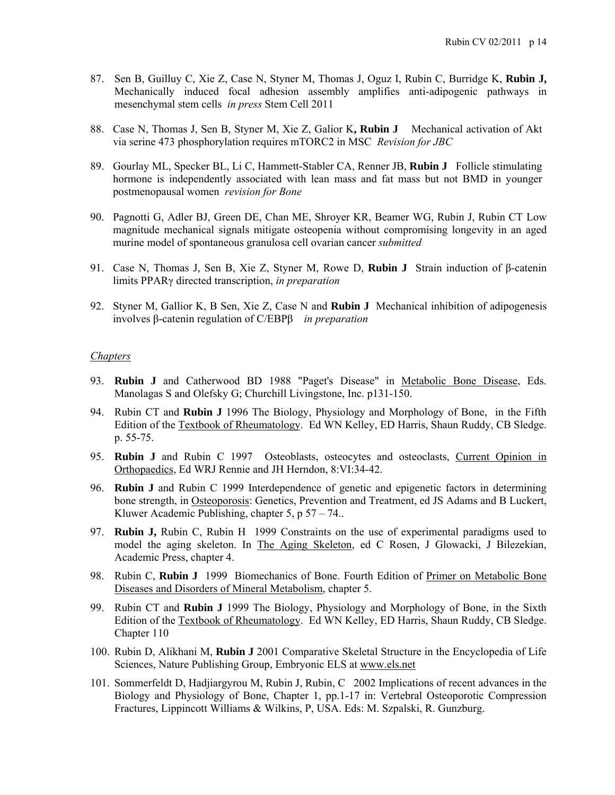- 87. Sen B, Guilluy C, Xie Z, Case N, Styner M, Thomas J, Oguz I, Rubin C, Burridge K, **Rubin J,** Mechanically induced focal adhesion assembly amplifies anti-adipogenic pathways in mesenchymal stem cells *in press* Stem Cell 2011
- 88. Case N, Thomas J, Sen B, Styner M, Xie Z, Galior K**, Rubin J** Mechanical activation of Akt via serine 473 phosphorylation requires mTORC2 in MSC *Revision for JBC*
- 89. Gourlay ML, Specker BL, Li C, Hammett-Stabler CA, Renner JB, **Rubin J** Follicle stimulating hormone is independently associated with lean mass and fat mass but not BMD in younger postmenopausal women *revision for Bone*
- 90. Pagnotti G, Adler BJ, Green DE, Chan ME, Shroyer KR, Beamer WG, Rubin J, Rubin CT Low magnitude mechanical signals mitigate osteopenia without compromising longevity in an aged murine model of spontaneous granulosa cell ovarian cancer *submitted*
- 91. Case N, Thomas J, Sen B, Xie Z, Styner M, Rowe D, **Rubin J** Strain induction of β-catenin limits PPARγ directed transcription, *in preparation*
- 92. Styner M, Gallior K, B Sen, Xie Z, Case N and **Rubin J** Mechanical inhibition of adipogenesis involves β-catenin regulation of C/EBPβ *in preparation*

# *Chapters*

- 93. **Rubin J** and Catherwood BD 1988 "Paget's Disease" in Metabolic Bone Disease, Eds. Manolagas S and Olefsky G; Churchill Livingstone, Inc. p131-150.
- 94. Rubin CT and **Rubin J** 1996 The Biology, Physiology and Morphology of Bone, in the Fifth Edition of the Textbook of Rheumatology. Ed WN Kelley, ED Harris, Shaun Ruddy, CB Sledge. p. 55-75.
- 95. **Rubin J** and Rubin C 1997 Osteoblasts, osteocytes and osteoclasts, Current Opinion in Orthopaedics, Ed WRJ Rennie and JH Herndon, 8:VI:34-42.
- 96. **Rubin J** and Rubin C 1999 Interdependence of genetic and epigenetic factors in determining bone strength, in Osteoporosis: Genetics, Prevention and Treatment, ed JS Adams and B Luckert, Kluwer Academic Publishing, chapter 5, p 57 – 74..
- 97. **Rubin J,** Rubin C, Rubin H 1999 Constraints on the use of experimental paradigms used to model the aging skeleton. In The Aging Skeleton, ed C Rosen, J Glowacki, J Bilezekian, Academic Press, chapter 4.
- 98. Rubin C, **Rubin J** 1999 Biomechanics of Bone. Fourth Edition of Primer on Metabolic Bone Diseases and Disorders of Mineral Metabolism, chapter 5.
- 99. Rubin CT and **Rubin J** 1999 The Biology, Physiology and Morphology of Bone, in the Sixth Edition of the Textbook of Rheumatology. Ed WN Kelley, ED Harris, Shaun Ruddy, CB Sledge. Chapter 110
- 100. Rubin D, Alikhani M, **Rubin J** 2001 Comparative Skeletal Structure in the Encyclopedia of Life Sciences, Nature Publishing Group, Embryonic ELS at www.els.net
- 101. Sommerfeldt D, Hadjiargyrou M, Rubin J, Rubin, C 2002 Implications of recent advances in the Biology and Physiology of Bone, Chapter 1, pp.1-17 in: Vertebral Osteoporotic Compression Fractures, Lippincott Williams & Wilkins, P, USA. Eds: M. Szpalski, R. Gunzburg.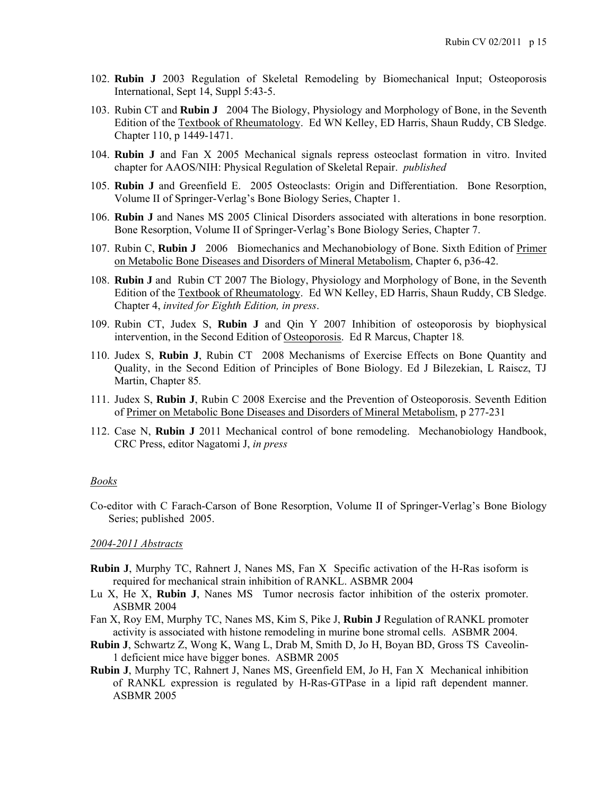- 102. **Rubin J** 2003 Regulation of Skeletal Remodeling by Biomechanical Input; Osteoporosis International, Sept 14, Suppl 5:43-5.
- 103. Rubin CT and **Rubin J** 2004 The Biology, Physiology and Morphology of Bone, in the Seventh Edition of the Textbook of Rheumatology. Ed WN Kelley, ED Harris, Shaun Ruddy, CB Sledge. Chapter 110, p 1449-1471.
- 104. **Rubin J** and Fan X 2005 Mechanical signals repress osteoclast formation in vitro. Invited chapter for AAOS/NIH: Physical Regulation of Skeletal Repair. *published*
- 105. **Rubin J** and Greenfield E. 2005 Osteoclasts: Origin and Differentiation. Bone Resorption, Volume II of Springer-Verlag's Bone Biology Series, Chapter 1.
- 106. **Rubin J** and Nanes MS 2005 Clinical Disorders associated with alterations in bone resorption. Bone Resorption, Volume II of Springer-Verlag's Bone Biology Series, Chapter 7.
- 107. Rubin C, **Rubin J** 2006 Biomechanics and Mechanobiology of Bone. Sixth Edition of Primer on Metabolic Bone Diseases and Disorders of Mineral Metabolism, Chapter 6, p36-42.
- 108. **Rubin J** and Rubin CT 2007 The Biology, Physiology and Morphology of Bone, in the Seventh Edition of the Textbook of Rheumatology. Ed WN Kelley, ED Harris, Shaun Ruddy, CB Sledge. Chapter 4, *invited for Eighth Edition, in press*.
- 109. Rubin CT, Judex S, **Rubin J** and Qin Y 2007 Inhibition of osteoporosis by biophysical intervention, in the Second Edition of Osteoporosis. Ed R Marcus, Chapter 18*.*
- 110. Judex S, **Rubin J**, Rubin CT 2008 Mechanisms of Exercise Effects on Bone Quantity and Quality, in the Second Edition of Principles of Bone Biology. Ed J Bilezekian, L Raiscz, TJ Martin, Chapter 85*.*
- 111. Judex S, **Rubin J**, Rubin C 2008 Exercise and the Prevention of Osteoporosis. Seventh Edition of Primer on Metabolic Bone Diseases and Disorders of Mineral Metabolism, p 277-231
- 112. Case N, **Rubin J** 2011 Mechanical control of bone remodeling. Mechanobiology Handbook, CRC Press, editor Nagatomi J, *in press*

### *Books*

Co-editor with C Farach-Carson of Bone Resorption, Volume II of Springer-Verlag's Bone Biology Series; published2005.

### *2004-2011 Abstracts*

- **Rubin J**, Murphy TC, Rahnert J, Nanes MS, Fan X Specific activation of the H-Ras isoform is required for mechanical strain inhibition of RANKL. ASBMR 2004
- Lu X, He X, **Rubin J**, Nanes MS Tumor necrosis factor inhibition of the osterix promoter. ASBMR 2004
- Fan X, Roy EM, Murphy TC, Nanes MS, Kim S, Pike J, **Rubin J** Regulation of RANKL promoter activity is associated with histone remodeling in murine bone stromal cells. ASBMR 2004.
- **Rubin J**, Schwartz Z, Wong K, Wang L, Drab M, Smith D, Jo H, Boyan BD, Gross TS Caveolin-1 deficient mice have bigger bones. ASBMR 2005
- **Rubin J**, Murphy TC, Rahnert J, Nanes MS, Greenfield EM, Jo H, Fan X Mechanical inhibition of RANKL expression is regulated by H-Ras-GTPase in a lipid raft dependent manner. ASBMR 2005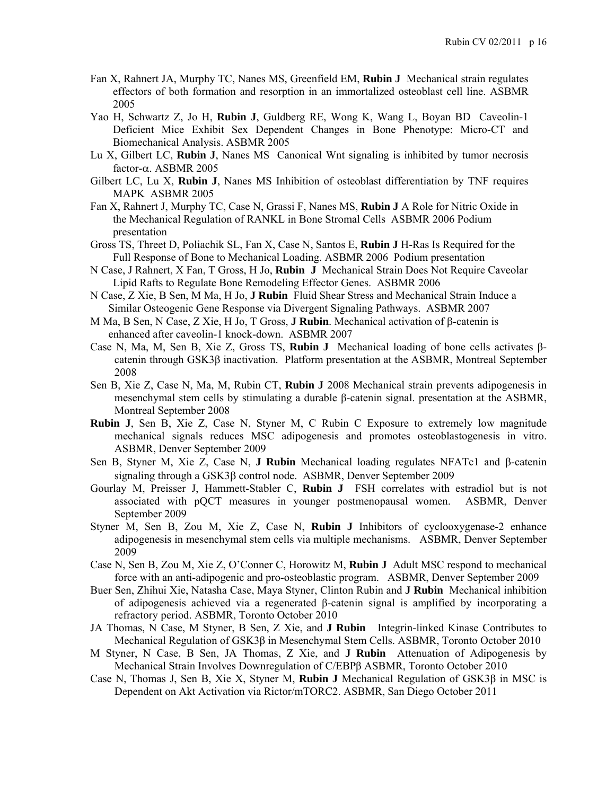- Fan X, Rahnert JA, Murphy TC, Nanes MS, Greenfield EM, **Rubin J** Mechanical strain regulates effectors of both formation and resorption in an immortalized osteoblast cell line. ASBMR 2005
- Yao H, Schwartz Z, Jo H, **Rubin J**, Guldberg RE, Wong K, Wang L, Boyan BD Caveolin-1 Deficient Mice Exhibit Sex Dependent Changes in Bone Phenotype: Micro-CT and Biomechanical Analysis. ASBMR 2005
- Lu X, Gilbert LC, **Rubin J**, Nanes MS Canonical Wnt signaling is inhibited by tumor necrosis factor- $\alpha$ . ASBMR 2005
- Gilbert LC, Lu X, **Rubin J**, Nanes MS Inhibition of osteoblast differentiation by TNF requires MAPK ASBMR 2005
- Fan X, Rahnert J, Murphy TC, Case N, Grassi F, Nanes MS, **Rubin J** A Role for Nitric Oxide in the Mechanical Regulation of RANKL in Bone Stromal Cells ASBMR 2006 Podium presentation
- Gross TS, Threet D, Poliachik SL, Fan X, Case N, Santos E, **Rubin J** H-Ras Is Required for the Full Response of Bone to Mechanical Loading. ASBMR 2006 Podium presentation
- N Case, J Rahnert, X Fan, T Gross, H Jo, **Rubin J** Mechanical Strain Does Not Require Caveolar Lipid Rafts to Regulate Bone Remodeling Effector Genes. ASBMR 2006
- N Case, Z Xie, B Sen, M Ma, H Jo, **J Rubin** Fluid Shear Stress and Mechanical Strain Induce a Similar Osteogenic Gene Response via Divergent Signaling Pathways. ASBMR 2007
- M Ma, B Sen, N Case, Z Xie, H Jo, T Gross, **J Rubin**. Mechanical activation of  $\beta$ -catenin is enhanced after caveolin-1 knock-down. ASBMR 2007
- Case N, Ma, M, Sen B, Xie Z, Gross TS, **Rubin J** Mechanical loading of bone cells activates βcatenin through GSK3β inactivation. Platform presentation at the ASBMR, Montreal September 2008
- Sen B, Xie Z, Case N, Ma, M, Rubin CT, **Rubin J** 2008 Mechanical strain prevents adipogenesis in mesenchymal stem cells by stimulating a durable β-catenin signal. presentation at the ASBMR, Montreal September 2008
- **Rubin J**, Sen B, Xie Z, Case N, Styner M, C Rubin C Exposure to extremely low magnitude mechanical signals reduces MSC adipogenesis and promotes osteoblastogenesis in vitro. ASBMR, Denver September 2009
- Sen B, Styner M, Xie Z, Case N, **J Rubin** Mechanical loading regulates NFATc1 and  $\beta$ -catenin signaling through a GSK3 $\beta$  control node. ASBMR, Denver September 2009
- Gourlay M, Preisser J, Hammett-Stabler C, **Rubin J** FSH correlates with estradiol but is not associated with pQCT measures in younger postmenopausal women. ASBMR, Denver September 2009
- Styner M, Sen B, Zou M, Xie Z, Case N, **Rubin J** Inhibitors of cyclooxygenase-2 enhance adipogenesis in mesenchymal stem cells via multiple mechanisms. ASBMR, Denver September 2009
- Case N, Sen B, Zou M, Xie Z, O'Conner C, Horowitz M, **Rubin J** Adult MSC respond to mechanical force with an anti-adipogenic and pro-osteoblastic program. ASBMR, Denver September 2009
- Buer Sen, Zhihui Xie, Natasha Case, Maya Styner, Clinton Rubin and **J Rubin** Mechanical inhibition of adipogenesis achieved via a regenerated β-catenin signal is amplified by incorporating a refractory period. ASBMR, Toronto October 2010
- JA Thomas, N Case, M Styner, B Sen, Z Xie, and **J Rubin** Integrin-linked Kinase Contributes to Mechanical Regulation of GSK3β in Mesenchymal Stem Cells. ASBMR, Toronto October 2010
- M Styner, N Case, B Sen, JA Thomas, Z Xie, and **J Rubin** Attenuation of Adipogenesis by Mechanical Strain Involves Downregulation of C/EBPβ ASBMR, Toronto October 2010
- Case N, Thomas J, Sen B, Xie X, Styner M, **Rubin J** Mechanical Regulation of GSK3β in MSC is Dependent on Akt Activation via Rictor/mTORC2. ASBMR, San Diego October 2011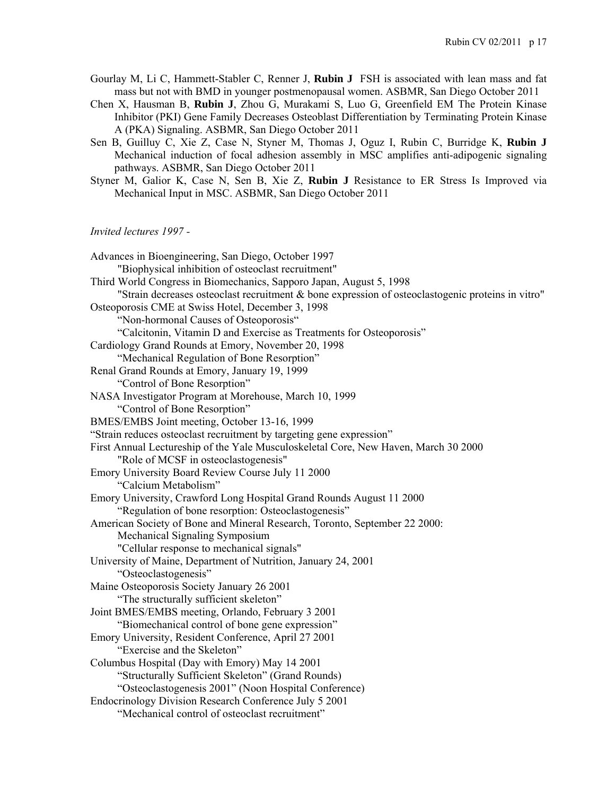- Gourlay M, Li C, Hammett-Stabler C, Renner J, **Rubin J** FSH is associated with lean mass and fat mass but not with BMD in younger postmenopausal women. ASBMR, San Diego October 2011
- Chen X, Hausman B, **Rubin J**, Zhou G, Murakami S, Luo G, Greenfield EM The Protein Kinase Inhibitor (PKI) Gene Family Decreases Osteoblast Differentiation by Terminating Protein Kinase A (PKA) Signaling. ASBMR, San Diego October 2011
- Sen B, Guilluy C, Xie Z, Case N, Styner M, Thomas J, Oguz I, Rubin C, Burridge K, **Rubin J** Mechanical induction of focal adhesion assembly in MSC amplifies anti-adipogenic signaling pathways. ASBMR, San Diego October 2011
- Styner M, Galior K, Case N, Sen B, Xie Z, **Rubin J** Resistance to ER Stress Is Improved via Mechanical Input in MSC. ASBMR, San Diego October 2011

# *Invited lectures 1997 -*

| Advances in Bioengineering, San Diego, October 1997<br>"Biophysical inhibition of osteoclast recruitment" |
|-----------------------------------------------------------------------------------------------------------|
| Third World Congress in Biomechanics, Sapporo Japan, August 5, 1998                                       |
| "Strain decreases osteoclast recruitment & bone expression of osteoclastogenic proteins in vitro"         |
| Osteoporosis CME at Swiss Hotel, December 3, 1998                                                         |
| "Non-hormonal Causes of Osteoporosis"                                                                     |
| "Calcitonin, Vitamin D and Exercise as Treatments for Osteoporosis"                                       |
| Cardiology Grand Rounds at Emory, November 20, 1998                                                       |
| "Mechanical Regulation of Bone Resorption"                                                                |
| Renal Grand Rounds at Emory, January 19, 1999                                                             |
| "Control of Bone Resorption"                                                                              |
| NASA Investigator Program at Morehouse, March 10, 1999                                                    |
| "Control of Bone Resorption"                                                                              |
| BMES/EMBS Joint meeting, October 13-16, 1999                                                              |
| "Strain reduces osteoclast recruitment by targeting gene expression"                                      |
| First Annual Lectureship of the Yale Musculoskeletal Core, New Haven, March 30 2000                       |
| "Role of MCSF in osteoclastogenesis"                                                                      |
| Emory University Board Review Course July 11 2000                                                         |
| "Calcium Metabolism"                                                                                      |
| Emory University, Crawford Long Hospital Grand Rounds August 11 2000                                      |
| "Regulation of bone resorption: Osteoclastogenesis"                                                       |
| American Society of Bone and Mineral Research, Toronto, September 22 2000:                                |
| Mechanical Signaling Symposium                                                                            |
| "Cellular response to mechanical signals"                                                                 |
| University of Maine, Department of Nutrition, January 24, 2001                                            |
| "Osteoclastogenesis"                                                                                      |
| Maine Osteoporosis Society January 26 2001                                                                |
| "The structurally sufficient skeleton"                                                                    |
| Joint BMES/EMBS meeting, Orlando, February 3 2001                                                         |
| "Biomechanical control of bone gene expression"                                                           |
| Emory University, Resident Conference, April 27 2001                                                      |
| "Exercise and the Skeleton"                                                                               |
| Columbus Hospital (Day with Emory) May 14 2001                                                            |
| "Structurally Sufficient Skeleton" (Grand Rounds)                                                         |
| "Osteoclastogenesis 2001" (Noon Hospital Conference)                                                      |
| Endocrinology Division Research Conference July 5 2001                                                    |
| "Mechanical control of osteoclast recruitment"                                                            |
|                                                                                                           |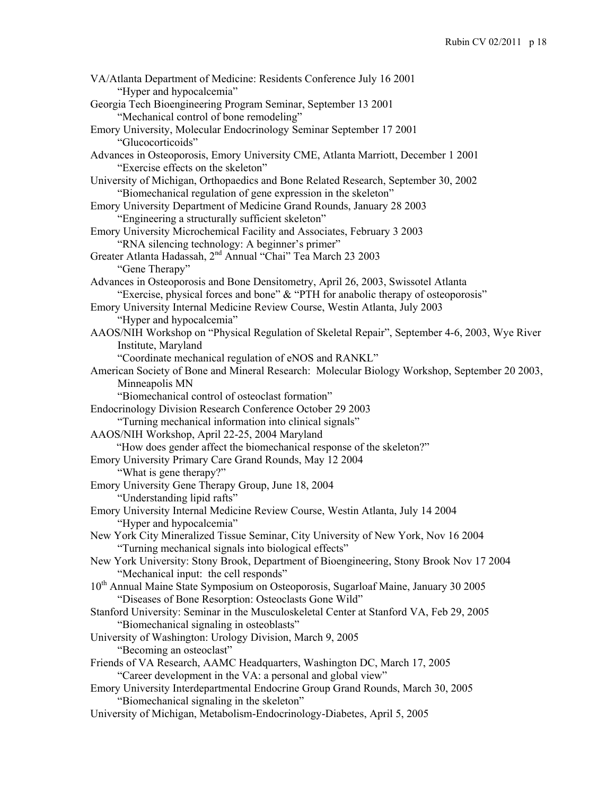| VA/Atlanta Department of Medicine: Residents Conference July 16 2001                                      |
|-----------------------------------------------------------------------------------------------------------|
| "Hyper and hypocalcemia"                                                                                  |
| Georgia Tech Bioengineering Program Seminar, September 13 2001<br>"Mechanical control of bone remodeling" |
| Emory University, Molecular Endocrinology Seminar September 17 2001<br>"Glucocorticoids"                  |
| Advances in Osteoporosis, Emory University CME, Atlanta Marriott, December 1 2001                         |
| "Exercise effects on the skeleton"                                                                        |
| University of Michigan, Orthopaedics and Bone Related Research, September 30, 2002                        |
| "Biomechanical regulation of gene expression in the skeleton"                                             |
| Emory University Department of Medicine Grand Rounds, January 28 2003                                     |
| "Engineering a structurally sufficient skeleton"                                                          |
| Emory University Microchemical Facility and Associates, February 3 2003                                   |
| "RNA silencing technology: A beginner's primer"                                                           |
| Greater Atlanta Hadassah, 2 <sup>nd</sup> Annual "Chai" Tea March 23 2003                                 |
| "Gene Therapy"                                                                                            |
| Advances in Osteoporosis and Bone Densitometry, April 26, 2003, Swissotel Atlanta                         |
| "Exercise, physical forces and bone" & "PTH for anabolic therapy of osteoporosis"                         |
| Emory University Internal Medicine Review Course, Westin Atlanta, July 2003                               |
| "Hyper and hypocalcemia"                                                                                  |
| AAOS/NIH Workshop on "Physical Regulation of Skeletal Repair", September 4-6, 2003, Wye River             |
| Institute, Maryland                                                                                       |
| "Coordinate mechanical regulation of eNOS and RANKL"                                                      |
| American Society of Bone and Mineral Research: Molecular Biology Workshop, September 20 2003,             |
| Minneapolis MN                                                                                            |
| "Biomechanical control of osteoclast formation"                                                           |
| Endocrinology Division Research Conference October 29 2003                                                |
| "Turning mechanical information into clinical signals"                                                    |
| AAOS/NIH Workshop, April 22-25, 2004 Maryland                                                             |
| "How does gender affect the biomechanical response of the skeleton?"                                      |
| Emory University Primary Care Grand Rounds, May 12 2004                                                   |
| "What is gene therapy?"                                                                                   |
| Emory University Gene Therapy Group, June 18, 2004                                                        |
| "Understanding lipid rafts"                                                                               |
| Emory University Internal Medicine Review Course, Westin Atlanta, July 14 2004                            |
| "Hyper and hypocalcemia"                                                                                  |
| New York City Mineralized Tissue Seminar, City University of New York, Nov 16 2004                        |
| "Turning mechanical signals into biological effects"                                                      |
| New York University: Stony Brook, Department of Bioengineering, Stony Brook Nov 17 2004                   |
| "Mechanical input: the cell responds"                                                                     |
| 10 <sup>th</sup> Annual Maine State Symposium on Osteoporosis, Sugarloaf Maine, January 30 2005           |
| "Diseases of Bone Resorption: Osteoclasts Gone Wild"                                                      |
| Stanford University: Seminar in the Musculoskeletal Center at Stanford VA, Feb 29, 2005                   |
| "Biomechanical signaling in osteoblasts"                                                                  |
| University of Washington: Urology Division, March 9, 2005                                                 |
| "Becoming an osteoclast"                                                                                  |
|                                                                                                           |
| Friends of VA Research, AAMC Headquarters, Washington DC, March 17, 2005                                  |
| "Career development in the VA: a personal and global view"                                                |
| Emory University Interdepartmental Endocrine Group Grand Rounds, March 30, 2005                           |
| "Biomechanical signaling in the skeleton"                                                                 |
| University of Michigan, Metabolism-Endocrinology-Diabetes, April 5, 2005                                  |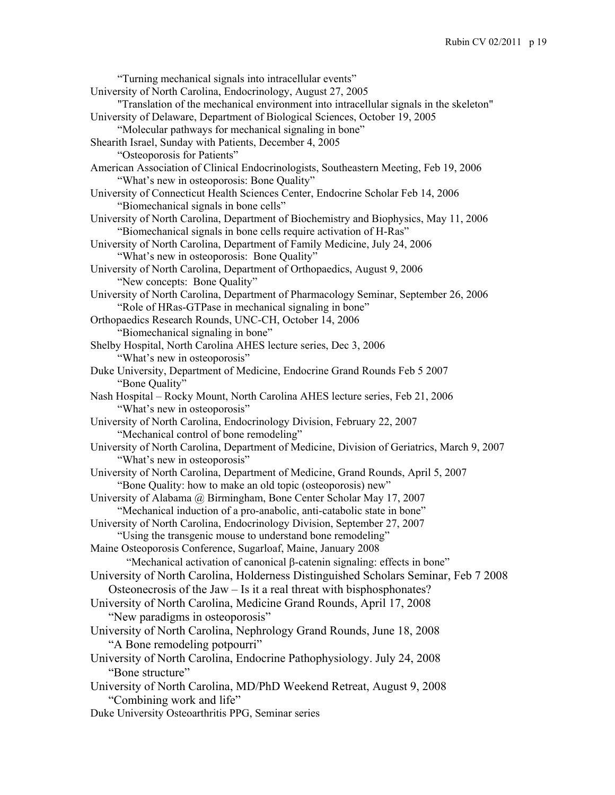"Turning mechanical signals into intracellular events" University of North Carolina, Endocrinology, August 27, 2005 "Translation of the mechanical environment into intracellular signals in the skeleton" University of Delaware, Department of Biological Sciences, October 19, 2005 "Molecular pathways for mechanical signaling in bone" Shearith Israel, Sunday with Patients, December 4, 2005 "Osteoporosis for Patients" American Association of Clinical Endocrinologists, Southeastern Meeting, Feb 19, 2006 "What's new in osteoporosis: Bone Quality" University of Connecticut Health Sciences Center, Endocrine Scholar Feb 14, 2006 "Biomechanical signals in bone cells" University of North Carolina, Department of Biochemistry and Biophysics, May 11, 2006 "Biomechanical signals in bone cells require activation of H-Ras" University of North Carolina, Department of Family Medicine, July 24, 2006 "What's new in osteoporosis: Bone Quality" University of North Carolina, Department of Orthopaedics, August 9, 2006 "New concepts: Bone Quality" University of North Carolina, Department of Pharmacology Seminar, September 26, 2006 "Role of HRas-GTPase in mechanical signaling in bone" Orthopaedics Research Rounds, UNC-CH, October 14, 2006 "Biomechanical signaling in bone" Shelby Hospital, North Carolina AHES lecture series, Dec 3, 2006 "What's new in osteoporosis" Duke University, Department of Medicine, Endocrine Grand Rounds Feb 5 2007 "Bone Quality" Nash Hospital – Rocky Mount, North Carolina AHES lecture series, Feb 21, 2006 "What's new in osteoporosis" University of North Carolina, Endocrinology Division, February 22, 2007 "Mechanical control of bone remodeling" University of North Carolina, Department of Medicine, Division of Geriatrics, March 9, 2007 "What's new in osteoporosis" University of North Carolina, Department of Medicine, Grand Rounds, April 5, 2007 "Bone Quality: how to make an old topic (osteoporosis) new" University of Alabama @ Birmingham, Bone Center Scholar May 17, 2007 "Mechanical induction of a pro-anabolic, anti-catabolic state in bone" University of North Carolina, Endocrinology Division, September 27, 2007 "Using the transgenic mouse to understand bone remodeling" Maine Osteoporosis Conference, Sugarloaf, Maine, January 2008 "Mechanical activation of canonical  $\beta$ -catenin signaling: effects in bone" University of North Carolina, Holderness Distinguished Scholars Seminar, Feb 7 2008 Osteonecrosis of the Jaw – Is it a real threat with bisphosphonates? University of North Carolina, Medicine Grand Rounds, April 17, 2008 "New paradigms in osteoporosis" University of North Carolina, Nephrology Grand Rounds, June 18, 2008 "A Bone remodeling potpourri" University of North Carolina, Endocrine Pathophysiology. July 24, 2008 "Bone structure" University of North Carolina, MD/PhD Weekend Retreat, August 9, 2008 "Combining work and life" Duke University Osteoarthritis PPG, Seminar series